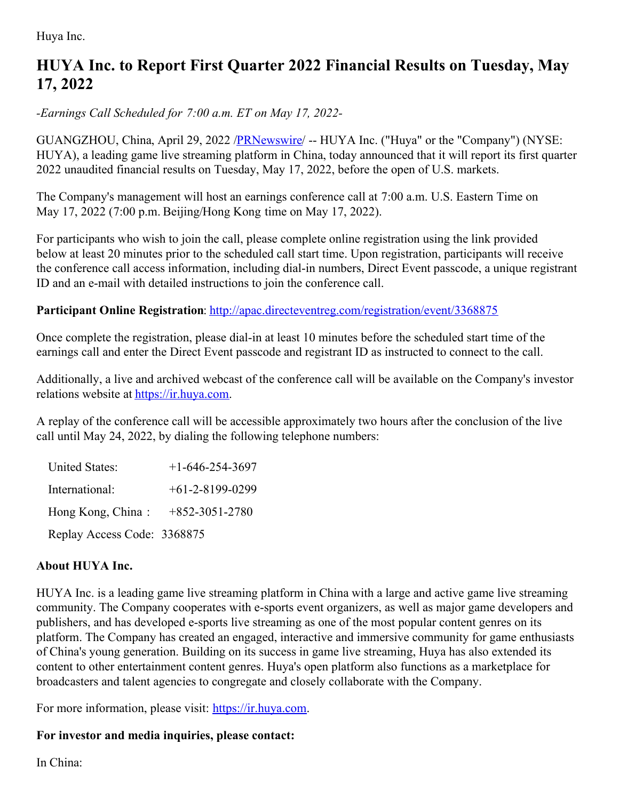Huya Inc.

## **HUYA Inc. to Report First Quarter 2022 Financial Results on Tuesday, May 17, 2022**

*-Earnings Call Scheduled for 7:00 a.m. ET on May 17, 2022-*

GUANGZHOU, China, April 29, 2022 [/PRNewswire](http://www.prnewswire.com/)/ -- HUYA Inc. ("Huya" or the "Company") (NYSE: HUYA), a leading game live streaming platform in China, today announced that it will report its first quarter 2022 unaudited financial results on Tuesday, May 17, 2022, before the open of U.S. markets.

The Company's management will host an earnings conference call at 7:00 a.m. U.S. Eastern Time on May 17, 2022 (7:00 p.m. Beijing/Hong Kong time on May 17, 2022).

For participants who wish to join the call, please complete online registration using the link provided below at least 20 minutes prior to the scheduled call start time. Upon registration, participants will receive the conference call access information, including dial-in numbers, Direct Event passcode, a unique registrant ID and an e-mail with detailed instructions to join the conference call.

## **Participant Online Registration**: <http://apac.directeventreg.com/registration/event/3368875>

Once complete the registration, please dial-in at least 10 minutes before the scheduled start time of the earnings call and enter the Direct Event passcode and registrant ID as instructed to connect to the call.

Additionally, a live and archived webcast of the conference call will be available on the Company's investor relations website at [https://ir.huya.com](https://ir.huya.com/).

A replay of the conference call will be accessible approximately two hours after the conclusion of the live call until May 24, 2022, by dialing the following telephone numbers:

United States:  $+1-646-254-3697$ International: +61-2-8199-0299 Hong Kong, China : +852-3051-2780 Replay Access Code: 3368875

## **About HUYA Inc.**

HUYA Inc. is a leading game live streaming platform in China with a large and active game live streaming community. The Company cooperates with e-sports event organizers, as well as major game developers and publishers, and has developed e-sports live streaming as one of the most popular content genres on its platform. The Company has created an engaged, interactive and immersive community for game enthusiasts of China's young generation. Building on its success in game live streaming, Huya has also extended its content to other entertainment content genres. Huya's open platform also functions as a marketplace for broadcasters and talent agencies to congregate and closely collaborate with the Company.

For more information, please visit: [https://ir.huya.com](https://ir.huya.com/).

## **For investor and media inquiries, please contact:**

In China: